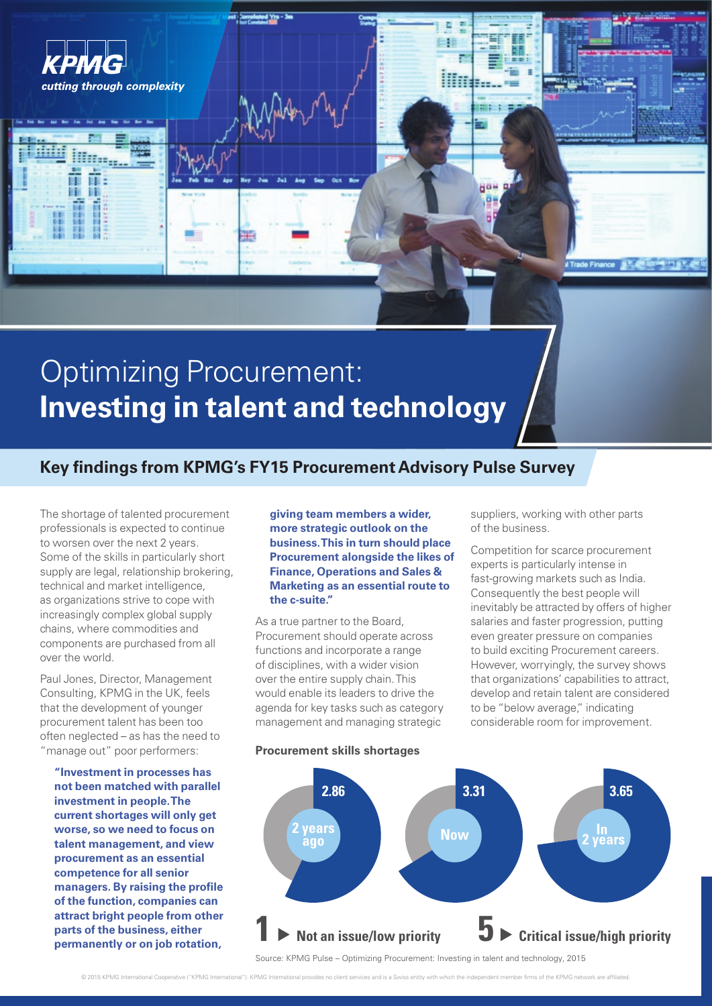

# Optimizing Procurement: **Investing in talent and technology**

# **Key findings from KPMG's FY15 Procurement Advisory Pulse Survey**

The shortage of talented procurement professionals is expected to continue to worsen over the next 2 years. Some of the skills in particularly short supply are legal, relationship brokering, technical and market intelligence, as organizations strive to cope with increasingly complex global supply chains, where commodities and components are purchased from all over the world.

Paul Jones, Director, Management Consulting, KPMG in the UK, feels that the development of younger procurement talent has been too often neglected – as has the need to "manage out" poor performers:

**"Investment in processes has not been matched with parallel investment in people. The current shortages will only get worse, so we need to focus on talent management, and view procurement as an essential competence for all senior managers. By raising the profile of the function, companies can attract bright people from other parts of the business, either permanently or on job rotation,** 

**giving team members a wider, more strategic outlook on the business. This in turn should place Procurement alongside the likes of Finance, Operations and Sales & Marketing as an essential route to the c-suite."**

As a true partner to the Board, Procurement should operate across functions and incorporate a range of disciplines, with a wider vision over the entire supply chain. This would enable its leaders to drive the agenda for key tasks such as category management and managing strategic

#### **Procurement skills shortages**

suppliers, working with other parts of the business.

Competition for scarce procurement experts is particularly intense in fast-growing markets such as India. Consequently the best people will inevitably be attracted by offers of higher salaries and faster progression, putting even greater pressure on companies to build exciting Procurement careers. However, worryingly, the survey shows that organizations' capabilities to attract, develop and retain talent are considered to be "below average," indicating considerable room for improvement.



18

© 2015 KPMG International Cooperative ("KPMG International"). KPMG International provides no client services and is a Swiss entity with which the independent member firms of the KPMG network are affiliated.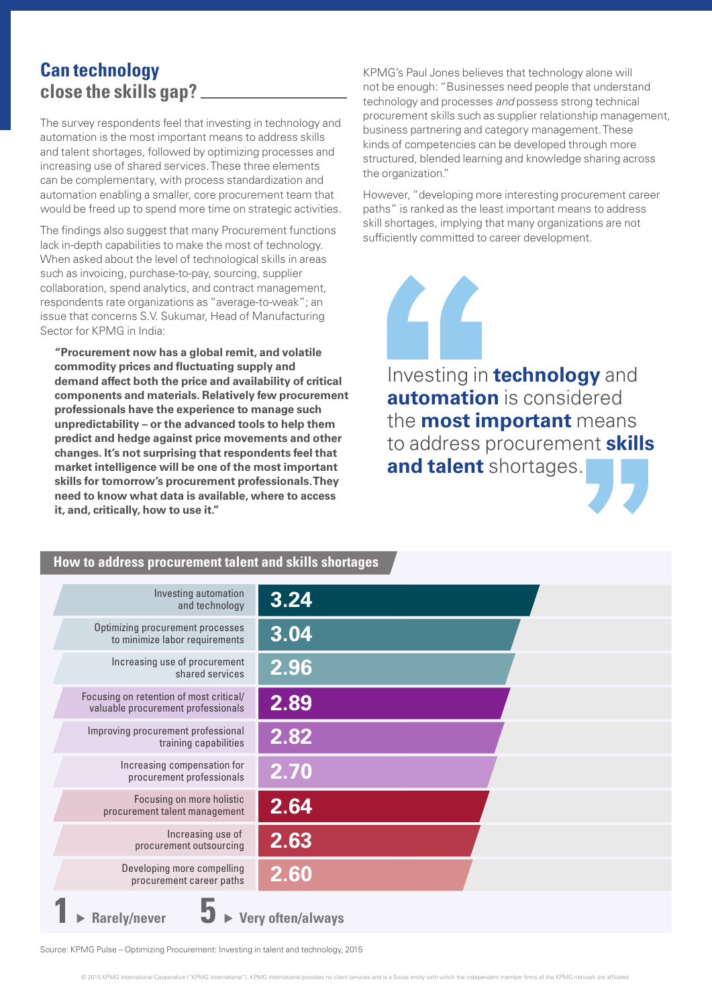# **Can technology close the skills gap?**

The survey respondents feel that investing in technology and automation is the most important means to address skills and talent shortages, followed by optimizing processes and increasing use of shared services. These three elements can be complementary, with process standardization and automation enabling a smaller, core procurement team that would be freed up to spend more time on strategic activities.

The findings also suggest that many Procurement functions lack in-depth capabilities to make the most of technology. When asked about the level of technological skills in areas such as invoicing, purchase-to-pay, sourcing, supplier collaboration, spend analytics, and contract management, respondents rate organizations as "average-to-weak"; an issue that concerns S.V. Sukumar, Head of Manufacturing Sector for KPMG in India:

**"Procurement now has a global remit, and volatile commodity prices and fluctuating supply and demand affect both the price and availability of critical components and materials. Relatively few procurement professionals have the experience to manage such unpredictability – or the advanced tools to help them predict and hedge against price movements and other changes. It's not surprising that respondents feel that market intelligence will be one of the most important skills for tomorrow's procurement professionals. They need to know what data is available, where to access it, and, critically, how to use it."**

KPMG's Paul Jones believes that technology alone will not be enough: "Businesses need people that understand technology and processes *and* possess strong technical procurement skills such as supplier relationship management, business partnering and category management. These kinds of competencies can be developed through more structured, blended learning and knowledge sharing across the organization."

However, "developing more interesting procurement career paths" is ranked as the least important means to address skill shortages, implying that many organizations are not sufficiently committed to career development.

Investing in **technology** and **automation** is considered the **most important** means to address procurement **skills and talent** shortages.

### **How to address procurement talent and skills shortages**

| Investing automation<br>and technology                                        | 3.24 |  |
|-------------------------------------------------------------------------------|------|--|
| Optimizing procurement processes<br>to minimize labor requirements            | 3.04 |  |
| Increasing use of procurement<br>shared services                              | 2.96 |  |
| Focusing on retention of most critical/<br>valuable procurement professionals | 2.89 |  |
| Improving procurement professional<br>training capabilities                   | 2.82 |  |
| Increasing compensation for<br>procurement professionals                      | 2.70 |  |
| Focusing on more holistic<br>procurement talent management                    | 2.64 |  |
| Increasing use of<br>procurement outsourcing                                  | 2.63 |  |
| Developing more compelling<br>procurement career paths                        | 2.60 |  |
| <b>Very often/always</b><br>/never                                            |      |  |

Source: KPMG Pulse – Optimizing Procurement: Investing in talent and technology, 2015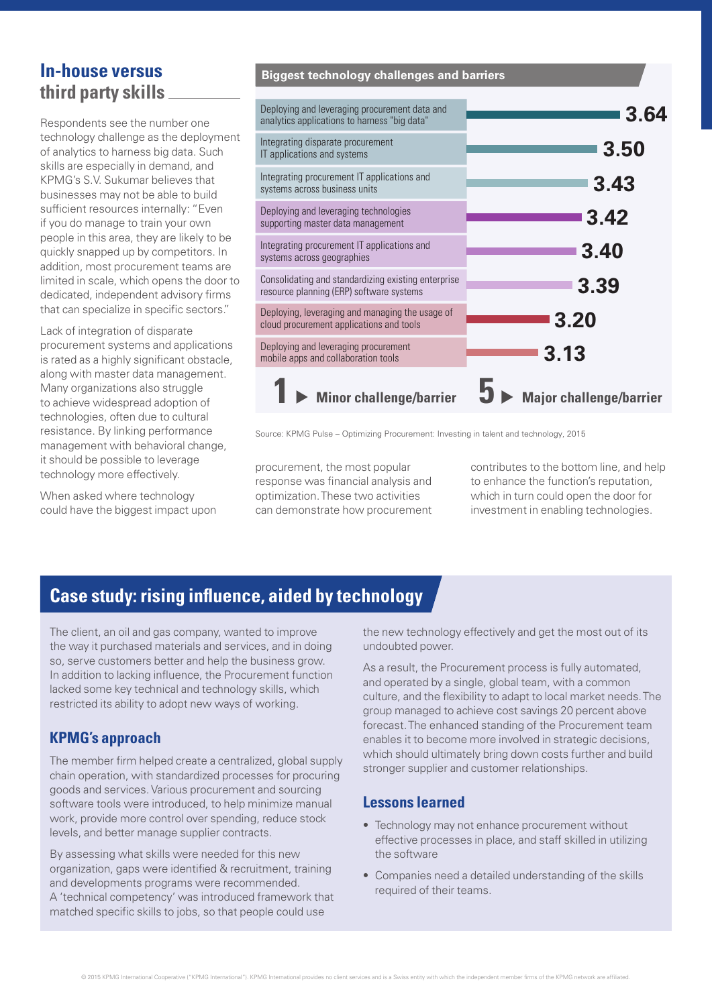# **In-house versus third party skills**

Respondents see the number one technology challenge as the deployment of analytics to harness big data. Such skills are especially in demand, and KPMG's S.V. Sukumar believes that businesses may not be able to build sufficient resources internally: "Even if you do manage to train your own people in this area, they are likely to be quickly snapped up by competitors. In addition, most procurement teams are limited in scale, which opens the door to dedicated, independent advisory firms that can specialize in specific sectors."

Lack of integration of disparate procurement systems and applications is rated as a highly significant obstacle, along with master data management. Many organizations also struggle to achieve widespread adoption of technologies, often due to cultural resistance. By linking performance management with behavioral change, it should be possible to leverage technology more effectively.

When asked where technology could have the biggest impact upon

#### **Biggest technology challenges and barriers**

| Deploying and leveraging procurement data and<br>analytics applications to harness "big data"   | 3.64                           |
|-------------------------------------------------------------------------------------------------|--------------------------------|
| Integrating disparate procurement<br>IT applications and systems                                | 3,50                           |
| Integrating procurement IT applications and<br>systems across business units                    | 3.43                           |
| Deploying and leveraging technologies<br>supporting master data management                      | 3.42                           |
| Integrating procurement IT applications and<br>systems across geographies                       | 3.40                           |
| Consolidating and standardizing existing enterprise<br>resource planning (ERP) software systems | 3.39                           |
| Deploying, leveraging and managing the usage of<br>cloud procurement applications and tools     | 3.20                           |
| Deploying and leveraging procurement<br>mobile apps and collaboration tools                     | 3.13                           |
| Minor challenge/barrier                                                                         | <b>Major challenge/barrier</b> |

Source: KPMG Pulse – Optimizing Procurement: Investing in talent and technology, 2015

procurement, the most popular response was financial analysis and optimization. These two activities can demonstrate how procurement contributes to the bottom line, and help to enhance the function's reputation, which in turn could open the door for investment in enabling technologies.

## **Case study: rising influence, aided by technology**

The client, an oil and gas company, wanted to improve the way it purchased materials and services, and in doing so, serve customers better and help the business grow. In addition to lacking influence, the Procurement function lacked some key technical and technology skills, which restricted its ability to adopt new ways of working.

### **KPMG's approach**

The member firm helped create a centralized, global supply chain operation, with standardized processes for procuring goods and services. Various procurement and sourcing software tools were introduced, to help minimize manual work, provide more control over spending, reduce stock levels, and better manage supplier contracts.

By assessing what skills were needed for this new organization, gaps were identified & recruitment, training and developments programs were recommended. A 'technical competency' was introduced framework that matched specific skills to jobs, so that people could use

the new technology effectively and get the most out of its undoubted power.

As a result, the Procurement process is fully automated, and operated by a single, global team, with a common culture, and the flexibility to adapt to local market needs. The group managed to achieve cost savings 20 percent above forecast. The enhanced standing of the Procurement team enables it to become more involved in strategic decisions, which should ultimately bring down costs further and build stronger supplier and customer relationships.

### **Lessons learned**

- Technology may not enhance procurement without effective processes in place, and staff skilled in utilizing the software
- Companies need a detailed understanding of the skills required of their teams.